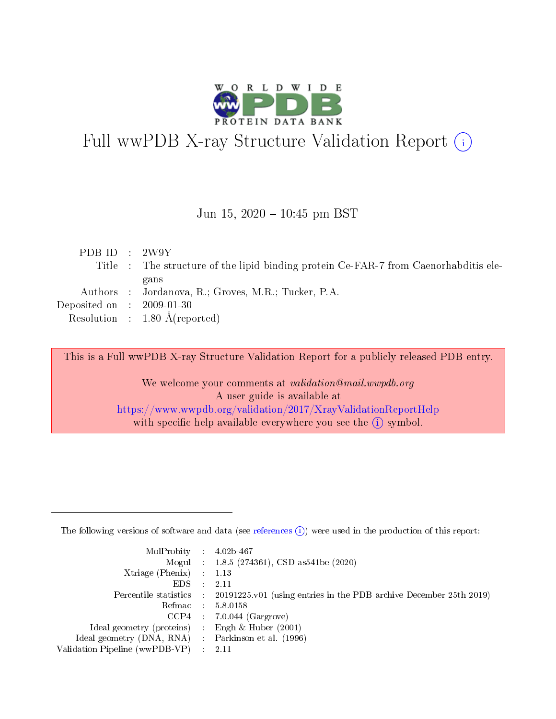

# Full wwPDB X-ray Structure Validation Report (i)

#### Jun 15,  $2020 - 10:45$  pm BST

| PDB ID : $2W9Y$                      |                                                                                       |
|--------------------------------------|---------------------------------------------------------------------------------------|
|                                      | Title : The structure of the lipid binding protein Ce-FAR-7 from Caenorhabilitis ele- |
|                                      | gans                                                                                  |
|                                      | Authors : Jordanova, R.; Groves, M.R.; Tucker, P.A.                                   |
| Deposited on $\therefore$ 2009-01-30 |                                                                                       |
|                                      | Resolution : $1.80 \text{ Å}$ (reported)                                              |

This is a Full wwPDB X-ray Structure Validation Report for a publicly released PDB entry.

We welcome your comments at validation@mail.wwpdb.org A user guide is available at <https://www.wwpdb.org/validation/2017/XrayValidationReportHelp> with specific help available everywhere you see the  $(i)$  symbol.

The following versions of software and data (see [references](https://www.wwpdb.org/validation/2017/XrayValidationReportHelp#references)  $(1)$ ) were used in the production of this report:

| $MolProbability$ : 4.02b-467                      |                              |                                                                                            |
|---------------------------------------------------|------------------------------|--------------------------------------------------------------------------------------------|
|                                                   |                              | Mogul : $1.8.5$ (274361), CSD as 541be (2020)                                              |
| Xtriage (Phenix) $: 1.13$                         |                              |                                                                                            |
| EDS –                                             | $\sim$                       | -2.11                                                                                      |
|                                                   |                              | Percentile statistics : 20191225.v01 (using entries in the PDB archive December 25th 2019) |
| Refmac : 5.8.0158                                 |                              |                                                                                            |
| CCP4                                              |                              | $7.0.044$ (Gargrove)                                                                       |
| Ideal geometry (proteins)                         | $\mathcal{L}_{\mathrm{eff}}$ | Engh & Huber $(2001)$                                                                      |
| Ideal geometry (DNA, RNA) Parkinson et al. (1996) |                              |                                                                                            |
| Validation Pipeline (wwPDB-VP) : 2.11             |                              |                                                                                            |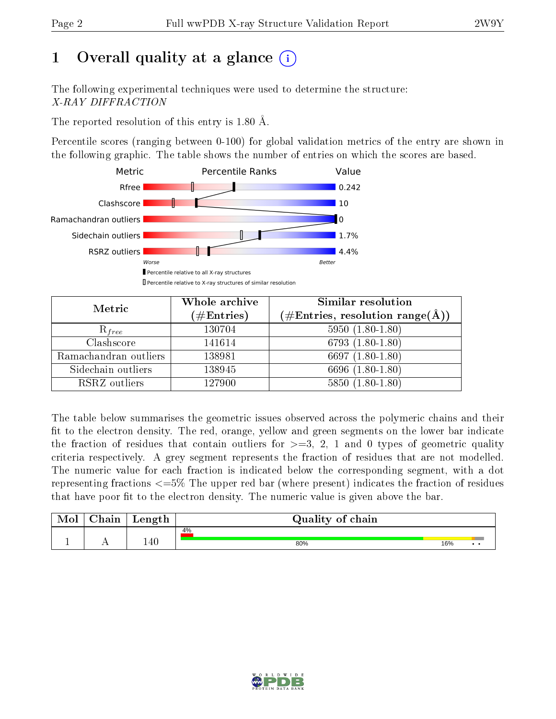## 1 [O](https://www.wwpdb.org/validation/2017/XrayValidationReportHelp#overall_quality)verall quality at a glance  $(i)$

The following experimental techniques were used to determine the structure: X-RAY DIFFRACTION

The reported resolution of this entry is 1.80 Å.

Percentile scores (ranging between 0-100) for global validation metrics of the entry are shown in the following graphic. The table shows the number of entries on which the scores are based.



| Metric                | Whole archive<br>$(\#\mathrm{Entries})$ | Similar resolution<br>$(\#\text{Entries},\,\text{resolution}\,\,\text{range}(\textup{\AA}))$ |
|-----------------------|-----------------------------------------|----------------------------------------------------------------------------------------------|
| $R_{free}$            | 130704                                  | $5950(1.80-1.80)$                                                                            |
| Clashscore            | 141614                                  | $6793(1.80-1.80)$                                                                            |
| Ramachandran outliers | 138981                                  | 6697 $(1.80-1.80)$                                                                           |
| Sidechain outliers    | 138945                                  | 6696 (1.80-1.80)                                                                             |
| RSRZ outliers         | 127900                                  | $5850(1.80-1.80)$                                                                            |

The table below summarises the geometric issues observed across the polymeric chains and their fit to the electron density. The red, orange, yellow and green segments on the lower bar indicate the fraction of residues that contain outliers for  $>=3, 2, 1$  and 0 types of geometric quality criteria respectively. A grey segment represents the fraction of residues that are not modelled. The numeric value for each fraction is indicated below the corresponding segment, with a dot representing fractions  $\epsilon=5\%$  The upper red bar (where present) indicates the fraction of residues that have poor fit to the electron density. The numeric value is given above the bar.

| Mol | $\cap$ hain | Length  | Quality of chain |     |              |
|-----|-------------|---------|------------------|-----|--------------|
|     |             |         | 4%               |     |              |
|     |             | $140\,$ | 80%              | 16% | $\cdot\cdot$ |

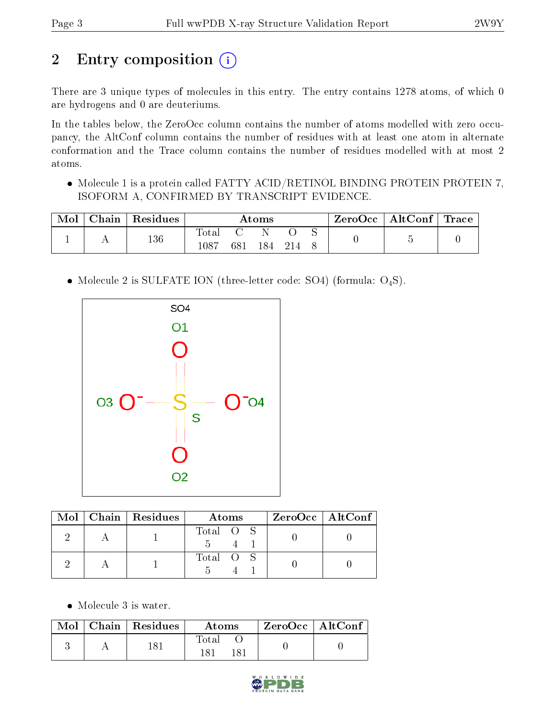## 2 Entry composition (i)

There are 3 unique types of molecules in this entry. The entry contains 1278 atoms, of which 0 are hydrogens and 0 are deuteriums.

In the tables below, the ZeroOcc column contains the number of atoms modelled with zero occupancy, the AltConf column contains the number of residues with at least one atom in alternate conformation and the Trace column contains the number of residues modelled with at most 2 atoms.

 Molecule 1 is a protein called FATTY ACID/RETINOL BINDING PROTEIN PROTEIN 7, ISOFORM A, CONFIRMED BY TRANSCRIPT EVIDENCE.

| Mol | ${\rm Chain}$ | Residues | $\rm{Atoms}$                 |     |      | ZeroOcc | $\mid$ AltConf $\mid$ Trace |  |  |  |
|-----|---------------|----------|------------------------------|-----|------|---------|-----------------------------|--|--|--|
|     |               | 136      | $\mathrm{Total}$<br>$1087\,$ | 681 | 184. |         |                             |  |  |  |

• Molecule 2 is SULFATE ION (three-letter code: SO4) (formula:  $O_4S$ ).



|  | $\text{Mol}$   Chain   Residues | Atoms     | $ZeroOcc$   AltConf |
|--|---------------------------------|-----------|---------------------|
|  |                                 | Total O S |                     |
|  |                                 | Total O S |                     |

• Molecule 3 is water.

|  | $\text{Mol}$   Chain   Residues | Atoms                     | $ZeroOcc \mid AltConf$ |  |
|--|---------------------------------|---------------------------|------------------------|--|
|  | 1 Q 1                           | $\rm Total$<br>181<br>181 |                        |  |

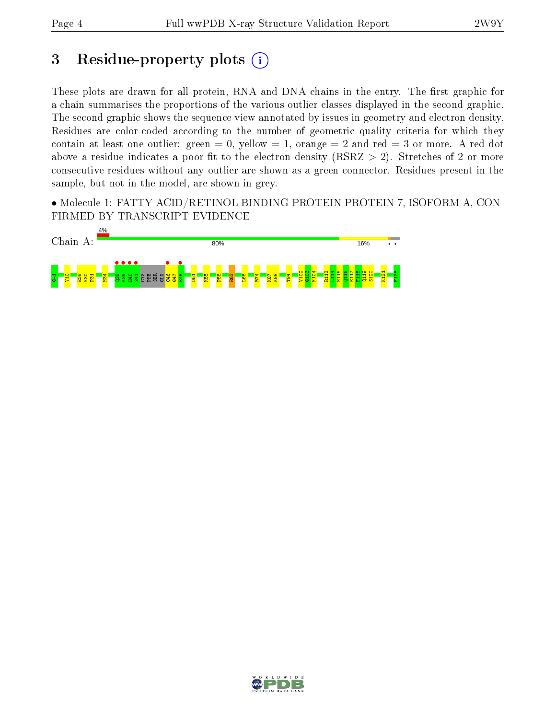## 3 Residue-property plots  $(i)$

These plots are drawn for all protein, RNA and DNA chains in the entry. The first graphic for a chain summarises the proportions of the various outlier classes displayed in the second graphic. The second graphic shows the sequence view annotated by issues in geometry and electron density. Residues are color-coded according to the number of geometric quality criteria for which they contain at least one outlier: green  $= 0$ , yellow  $= 1$ , orange  $= 2$  and red  $= 3$  or more. A red dot above a residue indicates a poor fit to the electron density (RSRZ  $> 2$ ). Stretches of 2 or more consecutive residues without any outlier are shown as a green connector. Residues present in the sample, but not in the model, are shown in grey.

• Molecule 1: FATTY ACID/RETINOL BINDING PROTEIN PROTEIN 7, ISOFORM A, CON-FIRMED BY TRANSCRIPT EVIDENCE



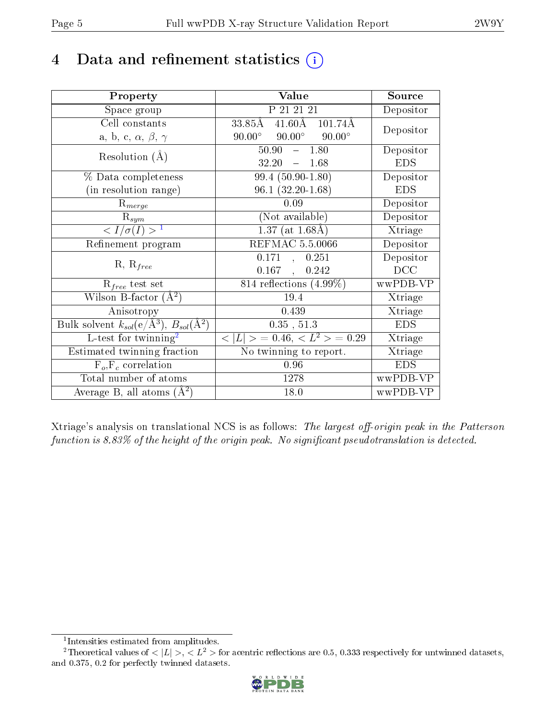## 4 Data and refinement statistics  $(i)$

| Property                                                                 | Value                                              | Source     |
|--------------------------------------------------------------------------|----------------------------------------------------|------------|
| Space group                                                              | P 21 21 21                                         | Depositor  |
| Cell constants                                                           | $41.60\text{\AA}$ $101.74\text{\AA}$<br>$33.85\AA$ | Depositor  |
| a, b, c, $\alpha$ , $\beta$ , $\gamma$                                   | $90.00^{\circ}$ $90.00^{\circ}$<br>$90.00^\circ$   |            |
| Resolution $(A)$                                                         | $-1.80$<br>50.90                                   | Depositor  |
|                                                                          | 32.20<br>$-1.68$                                   | <b>EDS</b> |
| % Data completeness                                                      | $99.4(50.90-1.80)$                                 | Depositor  |
| (in resolution range)                                                    | $96.1(32.20-1.68)$                                 | <b>EDS</b> |
| $R_{merge}$                                                              | 0.09                                               | Depositor  |
| $\mathrm{R}_{sym}$                                                       | (Not available)                                    | Depositor  |
| $\langle I/\sigma(I) \rangle^{-1}$                                       | $1.37$ (at 1.68Å)                                  | Xtriage    |
| Refinement program                                                       | <b>REFMAC 5.5.0066</b>                             | Depositor  |
| $R, R_{free}$                                                            | 0.171,<br>0.251                                    | Depositor  |
|                                                                          | $0.167$ ,<br>0.242                                 | DCC        |
| $\mathcal{R}_{free}$ test set                                            | 814 reflections $(4.99\%)$                         | wwPDB-VP   |
| Wilson B-factor $(A^2)$                                                  | 19.4                                               | Xtriage    |
| Anisotropy                                                               | 0.439                                              | Xtriage    |
| Bulk solvent $k_{sol}(\mathrm{e}/\mathrm{A}^3),$ $B_{sol}(\mathrm{A}^2)$ | 0.35, 51.3                                         | <b>EDS</b> |
| L-test for twinning <sup>2</sup>                                         | $< L >$ = 0.46, $< L2 >$ = 0.29                    | Xtriage    |
| Estimated twinning fraction                                              | $\overline{\text{No}}$ twinning to report.         | Xtriage    |
| $F_o, F_c$ correlation                                                   | 0.96                                               | <b>EDS</b> |
| Total number of atoms                                                    | 1278                                               | wwPDB-VP   |
| Average B, all atoms $(A^2)$                                             | 18.0                                               | wwPDB-VP   |

Xtriage's analysis on translational NCS is as follows: The largest off-origin peak in the Patterson function is  $8.83\%$  of the height of the origin peak. No significant pseudotranslation is detected.

<sup>&</sup>lt;sup>2</sup>Theoretical values of  $\langle |L| \rangle$ ,  $\langle L^2 \rangle$  for acentric reflections are 0.5, 0.333 respectively for untwinned datasets, and 0.375, 0.2 for perfectly twinned datasets.



<span id="page-4-1"></span><span id="page-4-0"></span><sup>1</sup> Intensities estimated from amplitudes.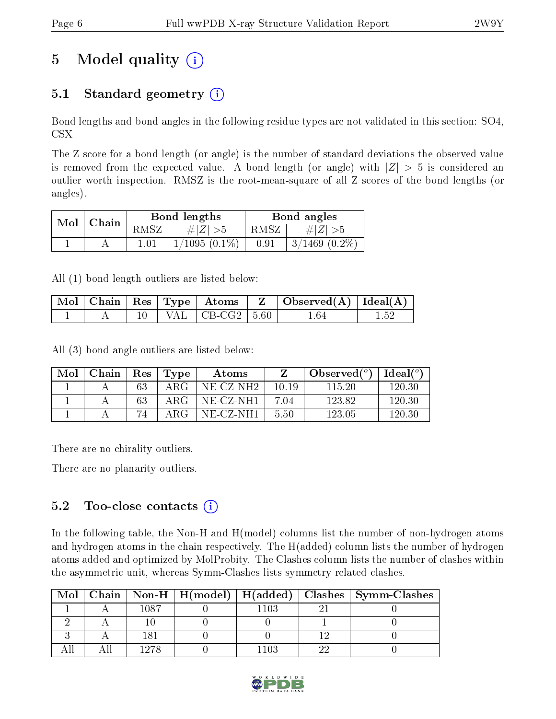## 5 Model quality  $(i)$

### 5.1 Standard geometry  $(i)$

Bond lengths and bond angles in the following residue types are not validated in this section: SO4, CSX

The Z score for a bond length (or angle) is the number of standard deviations the observed value is removed from the expected value. A bond length (or angle) with  $|Z| > 5$  is considered an outlier worth inspection. RMSZ is the root-mean-square of all Z scores of the bond lengths (or angles).

| Mol | $\mathord{\hspace{1pt}\text{}}$ Chain |      | Bond lengths    | Bond angles |                 |  |
|-----|---------------------------------------|------|-----------------|-------------|-----------------|--|
|     |                                       | RMSZ | # $ Z  > 5$     | RMSZ        | $\# Z  > 5$     |  |
|     |                                       |      | $1/1095(0.1\%)$ | 0.91        | $3/1469$ (0.2%) |  |

All (1) bond length outliers are listed below:

|  |  |                            | $\mid$ Mol $\mid$ Chain $\mid$ Res $\mid$ Type $\mid$ Atoms $\mid$ Z $\mid$ Observed(Å) $\mid$ Ideal(Å) $\mid$ |  |
|--|--|----------------------------|----------------------------------------------------------------------------------------------------------------|--|
|  |  | $10$   VAL   CB-CG2   5.60 | 164                                                                                                            |  |

All (3) bond angle outliers are listed below:

| Mol | Chain | $\operatorname{Res}$ | $\lq$ Type | Atoms     |          | Observed $(°)$ | Ideal (°) |
|-----|-------|----------------------|------------|-----------|----------|----------------|-----------|
|     |       | 63                   | A R.G      | NE-CZ-NH2 | $-10.19$ | 115 20         | 120.30    |
|     |       | 63                   | ARG.       | NE-CZ-NH1 | 7.04     | 123.82         | 120.30    |
|     |       |                      | A R.G      | NE-CZ-NH1 | 5.50     | 123.05         | 120.30    |

There are no chirality outliers.

There are no planarity outliers.

### $5.2$  Too-close contacts  $\overline{()}$

In the following table, the Non-H and H(model) columns list the number of non-hydrogen atoms and hydrogen atoms in the chain respectively. The H(added) column lists the number of hydrogen atoms added and optimized by MolProbity. The Clashes column lists the number of clashes within the asymmetric unit, whereas Symm-Clashes lists symmetry related clashes.

| Mol |      |      | Chain   Non-H   H(model)   H(added)   Clashes   Symm-Clashes |
|-----|------|------|--------------------------------------------------------------|
|     | 1087 | -103 |                                                              |
|     |      |      |                                                              |
|     |      |      |                                                              |
|     | 1978 | -103 |                                                              |

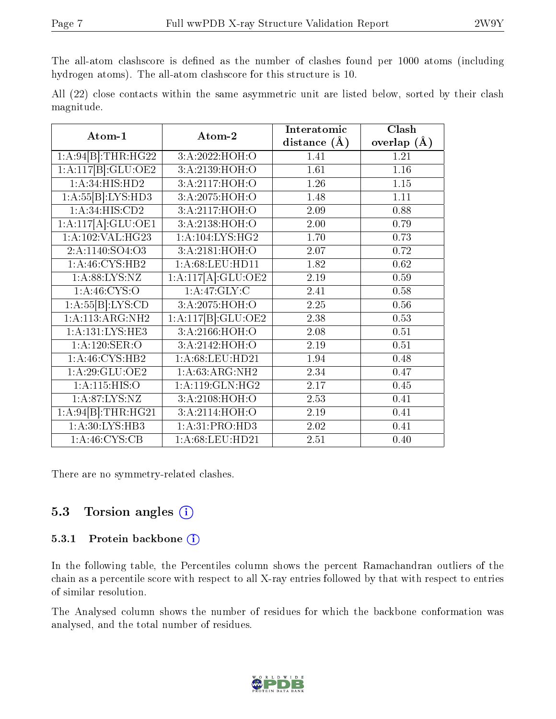The all-atom clashscore is defined as the number of clashes found per 1000 atoms (including hydrogen atoms). The all-atom clashscore for this structure is 10.

All (22) close contacts within the same asymmetric unit are listed below, sorted by their clash magnitude.

| Atom-1                     | Atom-2                                  | Interatomic       | Clash         |
|----------------------------|-----------------------------------------|-------------------|---------------|
|                            |                                         | distance $(A)$    | overlap $(A)$ |
| 1:A:94[B]:THR:HG22         | 3:A:2022:HOH:O                          | 1.41              | 1.21          |
| 1:A:117[B]:GLU:OE2         | 3:A:2139:HOH:O                          | 1.61              | 1.16          |
| 1:A:34:HIS:HD2             | 3:A:2117:HOH:O                          | 1.26              | 1.15          |
| 1:A:55[B]:LYS:HD3          | 3:A:2075:H <sub>0</sub> H <sub>:0</sub> | 1.48              | 1.11          |
| 1: A:34: HIS: CD2          | 3:A:2117:HOH:O                          | 2.09              | 0.88          |
| 1:A:117[A]:GLU:OE1         | 3:A:2138:HOH:O                          | 2.00              | 0.79          |
| 1:A:102:VAL:H G23          | 1: A: 104: LYS: HG2                     | 1.70              | 0.73          |
| 2:A:1140:SO4:O3            | 3:A:2181:HOH:O                          | 2.07              | 0.72          |
| 1: A:46: CYS:HB2           | 1:A:68:LEU:HD11                         | 1.82              | 0.62          |
| 1: A:88: LYS:NZ            | 1:A:117[A]:GLU:OE2                      | 2.19              | 0.59          |
| 1: A:46:CYS:O              | 1:A:47:GLY:C                            | 2.41              | 0.58          |
| 1:A:55[B]:LYS:CD           | 3:A:2075:HOH:O                          | 2.25              | 0.56          |
| 1: A:113:ARG:NH2           | 1:A:117[B]:GLU:OE2                      | 2.38              | 0.53          |
| 1: A: 131: LYS: HE3        | 3:A:2166:HOH:O                          | 2.08              | 0.51          |
| 1:A:120:SER:O              | 3:A:2142:HOH:O                          | 2.19              | 0.51          |
| 1: A:46: CYS:HB2           | 1:A:68:LEU:HD21                         | 1.94              | 0.48          |
| 1: A:29: GLU:OE2           | $1:A:63:A\overline{\mathrm{RG:NH2}}$    | 2.34              | 0.47          |
| 1: A: 115: HIS: O          | 1: A:119: GLN: HG2                      | 2.17              | 0.45          |
| 1: A:87: LYS:NZ            | 3:A:2108:HOH:O                          | 2.53              | 0.41          |
| 1:A:94[B]:THR:HG21         | 3:A:2114:HOH:O                          | 2.19              | 0.41          |
| 1: A:30: LYS: HB3          | 1: A:31: PRO:HD3                        | 2.02              | 0.41          |
| $1:\overline{A:46:CYS:CB}$ | 1: A:68:LEU:HD21                        | $\overline{2.51}$ | 0.40          |

There are no symmetry-related clashes.

### 5.3 Torsion angles (i)

#### 5.3.1 Protein backbone  $(i)$

In the following table, the Percentiles column shows the percent Ramachandran outliers of the chain as a percentile score with respect to all X-ray entries followed by that with respect to entries of similar resolution.

The Analysed column shows the number of residues for which the backbone conformation was analysed, and the total number of residues.

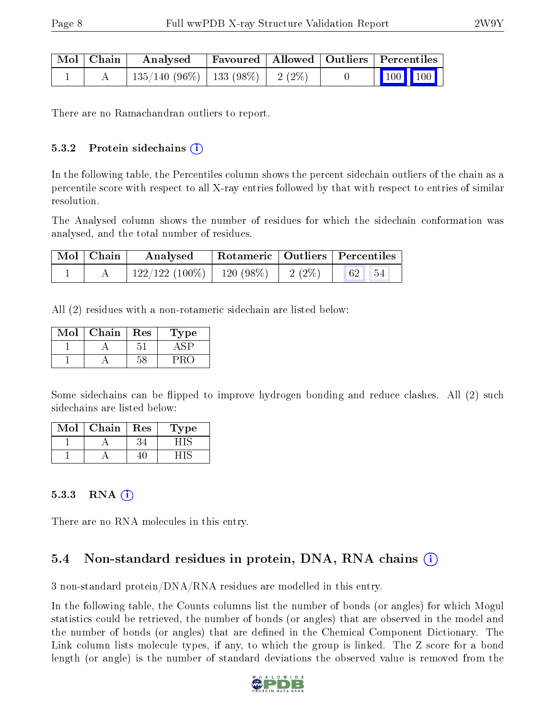| Mol   Chain | Analysed                                | Favoured   Allowed   Outliers   Percentiles |  |                         |  |
|-------------|-----------------------------------------|---------------------------------------------|--|-------------------------|--|
|             | $135/140$ (96\%)   133 (98\%)   2 (2\%) |                                             |  | $\vert$ 100 100 $\vert$ |  |

There are no Ramachandran outliers to report.

#### $5.3.2$  Protein sidechains  $(i)$

In the following table, the Percentiles column shows the percent sidechain outliers of the chain as a percentile score with respect to all X-ray entries followed by that with respect to entries of similar resolution.

The Analysed column shows the number of residues for which the sidechain conformation was analysed, and the total number of residues.

| Mol   Chain | Analysed                      | Rotameric   Outliers   Percentiles |                                  |                                           |  |
|-------------|-------------------------------|------------------------------------|----------------------------------|-------------------------------------------|--|
|             | $122/122(100\%)$   120 (98\%) |                                    | $\frac{1}{2}$ (2%) $\frac{1}{1}$ | $\parallel$ 62 $\parallel$ 54 $\parallel$ |  |

All (2) residues with a non-rotameric sidechain are listed below:

| Mol | Chain | Res | Fype |
|-----|-------|-----|------|
|     |       |     |      |
|     |       |     |      |

Some sidechains can be flipped to improve hydrogen bonding and reduce clashes. All (2) such sidechains are listed below:

| Mol | Chain | Res | Type |
|-----|-------|-----|------|
|     |       |     |      |
|     |       |     |      |

#### 5.3.3 RNA  $(i)$

There are no RNA molecules in this entry.

### 5.4 Non-standard residues in protein, DNA, RNA chains (i)

3 non-standard protein/DNA/RNA residues are modelled in this entry.

In the following table, the Counts columns list the number of bonds (or angles) for which Mogul statistics could be retrieved, the number of bonds (or angles) that are observed in the model and the number of bonds (or angles) that are defined in the Chemical Component Dictionary. The Link column lists molecule types, if any, to which the group is linked. The Z score for a bond length (or angle) is the number of standard deviations the observed value is removed from the

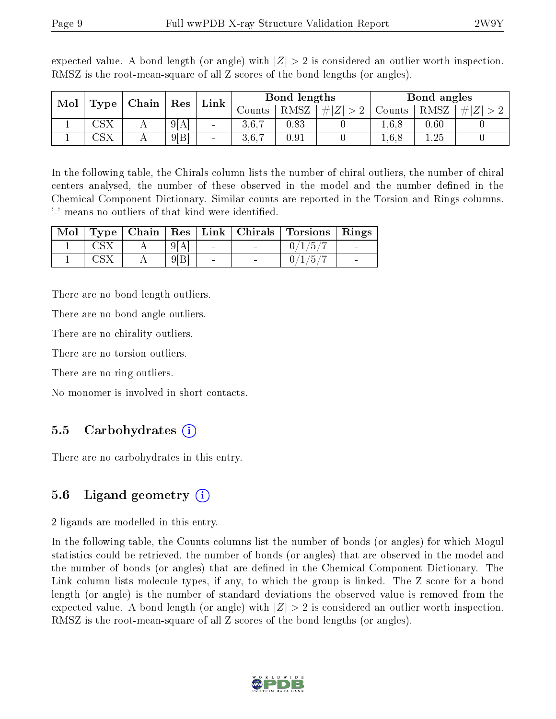| Mol<br>$\mid$ Chain<br>Type | $\vert$ Res  | Link | Bond lengths |        |        | Bond angles |        |        |          |     |
|-----------------------------|--------------|------|--------------|--------|--------|-------------|--------|--------|----------|-----|
|                             |              |      |              |        | Jounts | RMSZ        | #<br>∠ | Counts | RMSZ     | # Z |
|                             | $\Box$ S $X$ | A    | 9[A]         | $\sim$ | 3,6,7  | 0.83        |        | 1.6.8  | $0.60\,$ |     |
|                             |              |      | 9 B          | $\sim$ | 3.6.7  | 0.91        |        | 1,6,8  | 1.25     |     |

expected value. A bond length (or angle) with  $|Z| > 2$  is considered an outlier worth inspection. RMSZ is the root-mean-square of all Z scores of the bond lengths (or angles).

In the following table, the Chirals column lists the number of chiral outliers, the number of chiral centers analysed, the number of these observed in the model and the number defined in the Chemical Component Dictionary. Similar counts are reported in the Torsion and Rings columns. '-' means no outliers of that kind were identified.

|  |     |  | Mol   Type   Chain   Res   Link   Chirals   Torsions   Rings |  |
|--|-----|--|--------------------------------------------------------------|--|
|  |     |  | $-0/1/5/$                                                    |  |
|  | 9 B |  | 0/1/5/                                                       |  |

There are no bond length outliers.

There are no bond angle outliers.

There are no chirality outliers.

There are no torsion outliers.

There are no ring outliers.

No monomer is involved in short contacts.

#### 5.5 Carbohydrates (i)

There are no carbohydrates in this entry.

#### 5.6 Ligand geometry  $(i)$

2 ligands are modelled in this entry.

In the following table, the Counts columns list the number of bonds (or angles) for which Mogul statistics could be retrieved, the number of bonds (or angles) that are observed in the model and the number of bonds (or angles) that are dened in the Chemical Component Dictionary. The Link column lists molecule types, if any, to which the group is linked. The Z score for a bond length (or angle) is the number of standard deviations the observed value is removed from the expected value. A bond length (or angle) with  $|Z| > 2$  is considered an outlier worth inspection. RMSZ is the root-mean-square of all Z scores of the bond lengths (or angles).

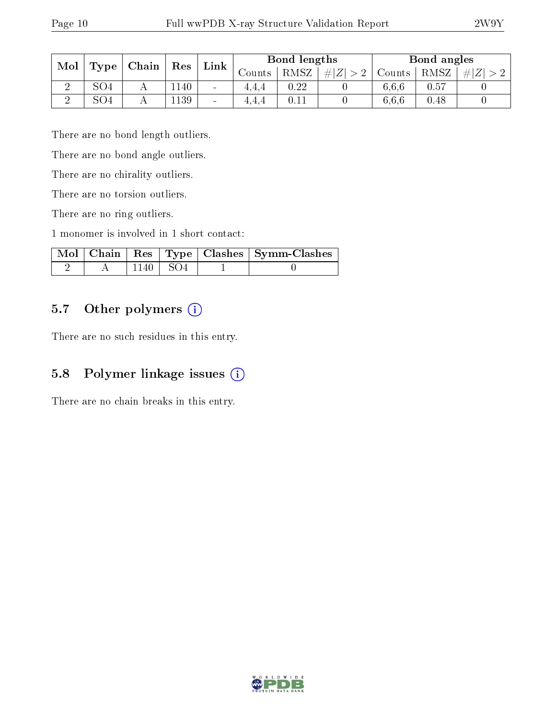| Mol | Res<br>Chain<br>Type |  | Link | Bond lengths             |          |          | Bond angles |        |      |                                            |
|-----|----------------------|--|------|--------------------------|----------|----------|-------------|--------|------|--------------------------------------------|
|     |                      |  |      |                          | Jounts - | RMSZ     | $\pm  Z^+ $ | Counts | RMSZ | $\# Z^{\scriptscriptstyle \dagger} $<br>#1 |
|     | SO4                  |  | 1140 | $\blacksquare$           | 4.4.4    | $0.22\,$ |             | 6.6.6  | 0.57 |                                            |
|     | SO <sub>4</sub>      |  | 1139 | $\overline{\phantom{a}}$ | 4.4.4    |          |             | 6.6.6  | 0.48 |                                            |

There are no bond length outliers.

There are no bond angle outliers.

There are no chirality outliers.

There are no torsion outliers.

There are no ring outliers.

1 monomer is involved in 1 short contact:

|  |                  | Mol   Chain   Res   Type   Clashes   Symm-Clashes |
|--|------------------|---------------------------------------------------|
|  | $1140 \perp SO4$ |                                                   |

### 5.7 [O](https://www.wwpdb.org/validation/2017/XrayValidationReportHelp#nonstandard_residues_and_ligands)ther polymers (i)

There are no such residues in this entry.

### 5.8 Polymer linkage issues  $(i)$

There are no chain breaks in this entry.

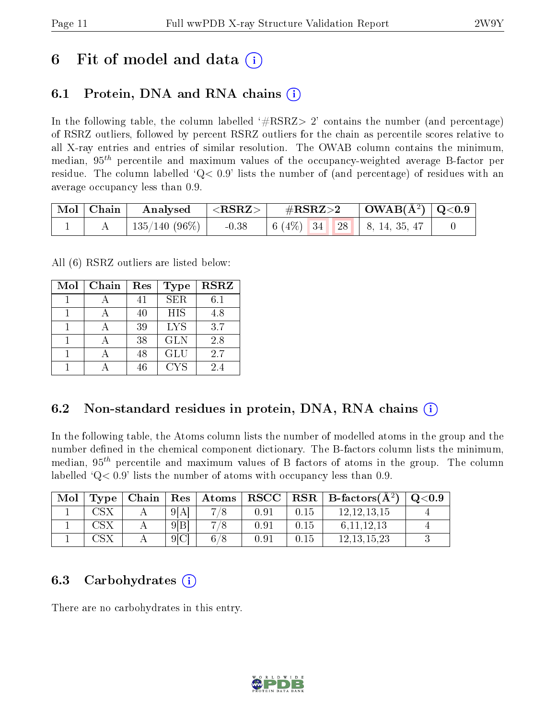## 6 Fit of model and data  $\left( \cdot \right)$

### 6.1 Protein, DNA and RNA chains (i)

In the following table, the column labelled  $#RSRZ>2'$  contains the number (and percentage) of RSRZ outliers, followed by percent RSRZ outliers for the chain as percentile scores relative to all X-ray entries and entries of similar resolution. The OWAB column contains the minimum, median,  $95<sup>th</sup>$  percentile and maximum values of the occupancy-weighted average B-factor per residue. The column labelled  $Q< 0.9$  lists the number of (and percentage) of residues with an average occupancy less than 0.9.

| $\mid$ Mol $\mid$ Chain $\mid$ | $\parallel$ Analysed | $^{\shortmid} < \text{RSRZ}> \ \mid$ | $\rm \#RSRZ{>}2$                                                                                   | $\vert$ OWAB( $\rm \AA^2)$ $\vert$ Q<0.9 $\vert$ |  |
|--------------------------------|----------------------|--------------------------------------|----------------------------------------------------------------------------------------------------|--------------------------------------------------|--|
|                                | 135/140 (96%)        | $-0.38$                              | $\begin{array}{ c c c c c c c c } \hline 6 & (4\%) & 34 & 28 & 8, 14, 35, 47 \ \hline \end{array}$ |                                                  |  |

All (6) RSRZ outliers are listed below:

| Mol | Chain | Res | <b>Type</b> | <b>RSRZ</b> |
|-----|-------|-----|-------------|-------------|
|     |       | 41  | <b>SER</b>  | 6.1         |
|     |       | 40  | <b>HIS</b>  | 4.8         |
|     |       | 39  | <b>LYS</b>  | 3.7         |
|     |       | 38  | <b>GLN</b>  | 2.8         |
|     |       | 48  | <b>GLU</b>  | 2.7         |
|     |       | 46  | CYS         | 24          |

### 6.2 Non-standard residues in protein, DNA, RNA chains (i)

In the following table, the Atoms column lists the number of modelled atoms in the group and the number defined in the chemical component dictionary. The B-factors column lists the minimum, median,  $95<sup>th</sup>$  percentile and maximum values of B factors of atoms in the group. The column labelled  $Q< 0.9$  lists the number of atoms with occupancy less than 0.9.

| Mol | Type | Chain |                  | Res   Atoms | $_{\rm RSCC}$ |      | $ $ RSR $ $ B-factors( $\AA$ <sup>2</sup> ) | Q <sub>0.9</sub> |
|-----|------|-------|------------------|-------------|---------------|------|---------------------------------------------|------------------|
|     |      |       | 9[A]             | −           | 0.91          | 0.15 | 12,12,13,15                                 |                  |
|     |      |       | 9 B              |             | 0.91          | 0.15 | 6, 11, 12, 13                               |                  |
|     |      |       | 9 <sup>[C]</sup> | 6/          | 0.91          | 0.15 | 12.13.15.23                                 |                  |

### 6.3 Carbohydrates  $(i)$

There are no carbohydrates in this entry.